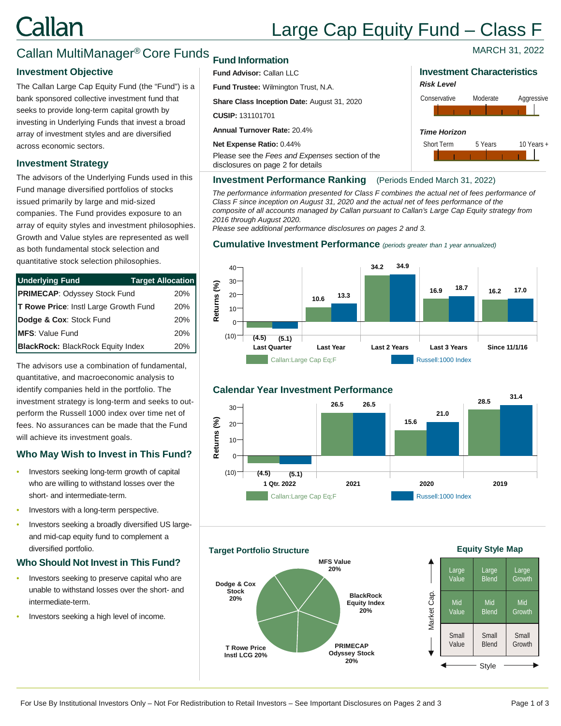# Callan

# Large Cap Equity Fund – Class F

*Risk Level*

*Time Horizon*

### Callan MultiManager® Core Funds

### **Investment Objective Investment Characteristics Investment Characteristics**

The Callan Large Cap Equity Fund (the "Fund") is a bank sponsored collective investment fund that seeks to provide long-term capital growth by investing in Underlying Funds that invest a broad array of investment styles and are diversified across economic sectors.

### **Investment Strategy**

The advisors of the Underlying Funds used in this Fund manage diversified portfolios of stocks issued primarily by large and mid-sized companies. The Fund provides exposure to an array of equity styles and investment philosophies. Growth and Value styles are represented as well as both fundamental stock selection and quantitative stock selection philosophies.

| <b>Underlying Fund</b>                   | <b>Target Allocation</b> |
|------------------------------------------|--------------------------|
| <b>PRIMECAP: Odyssey Stock Fund</b>      | 20%                      |
| T Rowe Price: Instl Large Growth Fund    | 20%                      |
| Dodge & Cox: Stock Fund                  | 20%                      |
| <b>IMFS:</b> Value Fund                  | 20%                      |
| <b>BlackRock: BlackRock Equity Index</b> | 20%                      |

The advisors use a combination of fundamental, quantitative, and macroeconomic analysis to identify companies held in the portfolio. The investment strategy is long-term and seeks to outperform the Russell 1000 index over time net of fees. No assurances can be made that the Fund will achieve its investment goals.

### **Who May Wish to Invest in This Fund?**

- Investors seeking long-term growth of capital who are willing to withstand losses over the short- and intermediate-term.
- Investors with a long-term perspective.
- Investors seeking a broadly diversified US largeand mid-cap equity fund to complement a diversified portfolio.

### **Who Should Not Invest in This Fund?**

- Investors seeking to preserve capital who are unable to withstand losses over the short- and intermediate-term.
- Investors seeking a high level of income.

### **Fund Information**

### **Fund Advisor:** Callan LLC

**Fund Trustee:** Wilmington Trust, N.A.

**Share Class Inception Date:** August 31, 2020

**CUSIP:** 131101701

**Annual Turnover Rate:** 20.4%

**Net Expense Ratio:** 0.44%

Please see the *Fees and Expenses* section of the disclosures on page 2 for details

### **Investment Performance Ranking** (Periods Ended March 31, 2022)

*The performance information presented for Class F combines the actual net of fees performance of Class F since inception on August 31, 2020 and the actual net of fees performance of the composite of all accounts managed by Callan pursuant to Callan's Large Cap Equity strategy from 2016 through August 2020.* 

*Please see additional performance disclosures on pages 2 and 3.*

### **Cumulative Investment Performance** *(periods greater than 1 year annualized)*





#### **Target Portfolio Structure**



### **Equity Style Map**



For Use By Institutional Investors Only – Not For Redistribution to Retail Investors – See Important Disclosures on Pages 2 and 3 Page 1 of 3

MARCH 31, 2022

Short Term 5 Years 10 Years +

Conservative Moderate Aggressive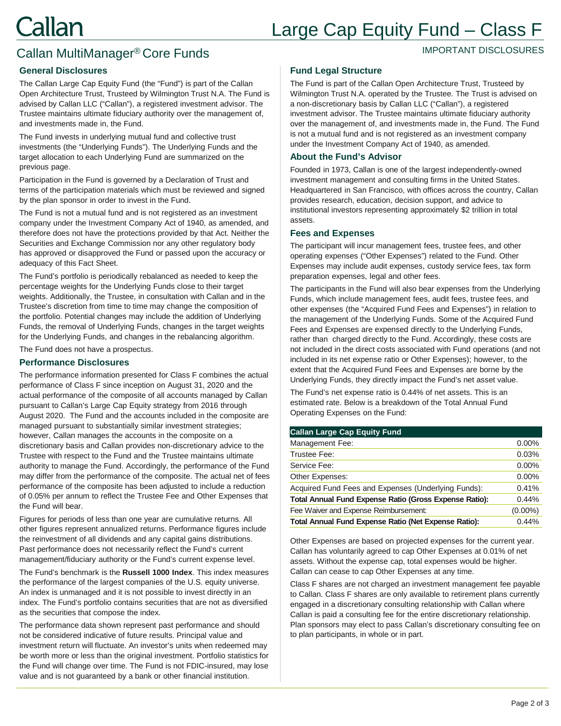## Large Cap Equity Fund – Class F

IMPORTANT DISCLOSURES

## Callan MultiManager® Core Funds

### **General Disclosures**

The Callan Large Cap Equity Fund (the "Fund") is part of the Callan Open Architecture Trust, Trusteed by Wilmington Trust N.A. The Fund is advised by Callan LLC ("Callan"), a registered investment advisor. The Trustee maintains ultimate fiduciary authority over the management of, and investments made in, the Fund.

The Fund invests in underlying mutual fund and collective trust investments (the "Underlying Funds"). The Underlying Funds and the target allocation to each Underlying Fund are summarized on the previous page.

Participation in the Fund is governed by a Declaration of Trust and terms of the participation materials which must be reviewed and signed by the plan sponsor in order to invest in the Fund.

The Fund is not a mutual fund and is not registered as an investment company under the Investment Company Act of 1940, as amended, and therefore does not have the protections provided by that Act. Neither the Securities and Exchange Commission nor any other regulatory body has approved or disapproved the Fund or passed upon the accuracy or adequacy of this Fact Sheet.

The Fund's portfolio is periodically rebalanced as needed to keep the percentage weights for the Underlying Funds close to their target weights. Additionally, the Trustee, in consultation with Callan and in the Trustee's discretion from time to time may change the composition of the portfolio. Potential changes may include the addition of Underlying Funds, the removal of Underlying Funds, changes in the target weights for the Underlying Funds, and changes in the rebalancing algorithm.

The Fund does not have a prospectus.

### **Performance Disclosures**

The performance information presented for Class F combines the actual performance of Class F since inception on August 31, 2020 and the actual performance of the composite of all accounts managed by Callan pursuant to Callan's Large Cap Equity strategy from 2016 through August 2020. The Fund and the accounts included in the composite are managed pursuant to substantially similar investment strategies; however, Callan manages the accounts in the composite on a discretionary basis and Callan provides non-discretionary advice to the Trustee with respect to the Fund and the Trustee maintains ultimate authority to manage the Fund. Accordingly, the performance of the Fund may differ from the performance of the composite. The actual net of fees performance of the composite has been adjusted to include a reduction of 0.05% per annum to reflect the Trustee Fee and Other Expenses that the Fund will bear.

Figures for periods of less than one year are cumulative returns. All other figures represent annualized returns. Performance figures include the reinvestment of all dividends and any capital gains distributions. Past performance does not necessarily reflect the Fund's current management/fiduciary authority or the Fund's current expense level.

The Fund's benchmark is the **Russell 1000 Index**. This index measures the performance of the largest companies of the U.S. equity universe. An index is unmanaged and it is not possible to invest directly in an index. The Fund's portfolio contains securities that are not as diversified as the securities that compose the index.

The performance data shown represent past performance and should not be considered indicative of future results. Principal value and investment return will fluctuate. An investor's units when redeemed may be worth more or less than the original investment. Portfolio statistics for the Fund will change over time. The Fund is not FDIC-insured, may lose value and is not guaranteed by a bank or other financial institution.

### **Fund Legal Structure**

The Fund is part of the Callan Open Architecture Trust, Trusteed by Wilmington Trust N.A. operated by the Trustee. The Trust is advised on a non-discretionary basis by Callan LLC ("Callan"), a registered investment advisor. The Trustee maintains ultimate fiduciary authority over the management of, and investments made in, the Fund. The Fund is not a mutual fund and is not registered as an investment company under the Investment Company Act of 1940, as amended.

### **About the Fund's Advisor**

Founded in 1973, Callan is one of the largest independently-owned investment management and consulting firms in the United States. Headquartered in San Francisco, with offices across the country, Callan provides research, education, decision support, and advice to institutional investors representing approximately \$2 trillion in total assets.

### **Fees and Expenses**

The participant will incur management fees, trustee fees, and other operating expenses ("Other Expenses") related to the Fund. Other Expenses may include audit expenses, custody service fees, tax form preparation expenses, legal and other fees.

The participants in the Fund will also bear expenses from the Underlying Funds, which include management fees, audit fees, trustee fees, and other expenses (the "Acquired Fund Fees and Expenses") in relation to the management of the Underlying Funds. Some of the Acquired Fund Fees and Expenses are expensed directly to the Underlying Funds, rather than charged directly to the Fund. Accordingly, these costs are not included in the direct costs associated with Fund operations (and not included in its net expense ratio or Other Expenses); however, to the extent that the Acquired Fund Fees and Expenses are borne by the Underlying Funds, they directly impact the Fund's net asset value.

The Fund's net expense ratio is 0.44% of net assets. This is an estimated rate. Below is a breakdown of the Total Annual Fund Operating Expenses on the Fund:

#### **Callan Large Cap Equity Fund**

| Management Fee:                                        | 0.00%      |
|--------------------------------------------------------|------------|
| Trustee Fee:                                           | 0.03%      |
| Service Fee:                                           | 0.00%      |
| Other Expenses:                                        | 0.00%      |
| Acquired Fund Fees and Expenses (Underlying Funds):    | 0.41%      |
| Total Annual Fund Expense Ratio (Gross Expense Ratio): | 0.44%      |
| Fee Waiver and Expense Reimbursement:                  | $(0.00\%)$ |
| Total Annual Fund Expense Ratio (Net Expense Ratio):   | 0.44%      |

Other Expenses are based on projected expenses for the current year. Callan has voluntarily agreed to cap Other Expenses at 0.01% of net assets. Without the expense cap, total expenses would be higher. Callan can cease to cap Other Expenses at any time.

Class F shares are not charged an investment management fee payable to Callan. Class F shares are only available to retirement plans currently engaged in a discretionary consulting relationship with Callan where Callan is paid a consulting fee for the entire discretionary relationship. Plan sponsors may elect to pass Callan's discretionary consulting fee on to plan participants, in whole or in part.